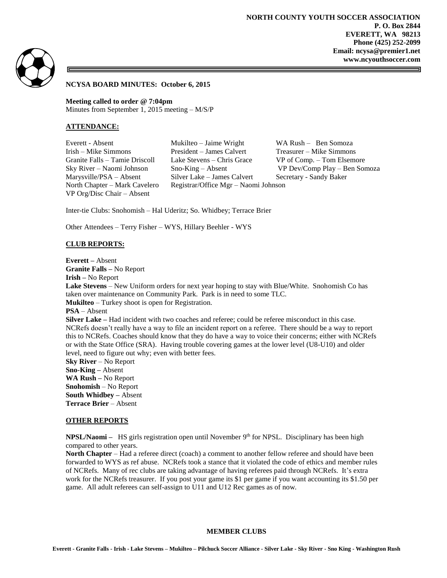

### **NCYSA BOARD MINUTES: October 6, 2015**

**Meeting called to order @ 7:04pm** Minutes from September 1, 2015 meeting – M/S/P

# **ATTENDANCE:**

VP Org/Disc Chair – Absent

Everett - Absent Mukilteo – Jaime Wright WA Rush – Ben Somoza Irish – Mike Simmons President – James Calvert Treasurer – Mike Simmons Granite Falls – Tamie Driscoll Lake Stevens – Chris Grace VP of Comp. – Tom Elsemore Sky River – Naomi Johnson Sno-King – Absent VP Dev/Comp Play – Ben Somoza Marysville/PSA – Absent Silver Lake – James Calvert Secretary - Sandy Baker North Chapter – Mark Cavelero Registrar/Office Mgr – Naomi Johnson

Inter-tie Clubs: Snohomish – Hal Uderitz; So. Whidbey; Terrace Brier

Other Attendees – Terry Fisher – WYS, Hillary Beehler - WYS

### **CLUB REPORTS:**

**Everett –** Absent **Granite Falls –** No Report

**Irish –** No Report

**Lake Stevens** – New Uniform orders for next year hoping to stay with Blue/White. Snohomish Co has taken over maintenance on Community Park. Park is in need to some TLC. **Mukilteo** – Turkey shoot is open for Registration.

**PSA** – Absent

**Silver Lake** – Had incident with two coaches and referee; could be referee misconduct in this case. NCRefs doesn't really have a way to file an incident report on a referee. There should be a way to report this to NCRefs. Coaches should know that they do have a way to voice their concerns; either with NCRefs or with the State Office (SRA). Having trouble covering games at the lower level (U8-U10) and older level, need to figure out why; even with better fees.

**Sky River** – No Report **Sno-King –** Absent **WA Rush –** No Report **Snohomish** – No Report **South Whidbey –** Absent **Terrace Brier** – Absent

#### **OTHER REPORTS**

**NPSL/Naomi** – HS girls registration open until November 9<sup>th</sup> for NPSL. Disciplinary has been high compared to other years.

**North Chapter** – Had a referee direct (coach) a comment to another fellow referee and should have been forwarded to WYS as ref abuse. NCRefs took a stance that it violated the code of ethics and member rules of NCRefs. Many of rec clubs are taking advantage of having referees paid through NCRefs. It's extra work for the NCRefs treasurer. If you post your game its \$1 per game if you want accounting its \$1.50 per game. All adult referees can self-assign to U11 and U12 Rec games as of now.

### **MEMBER CLUBS**